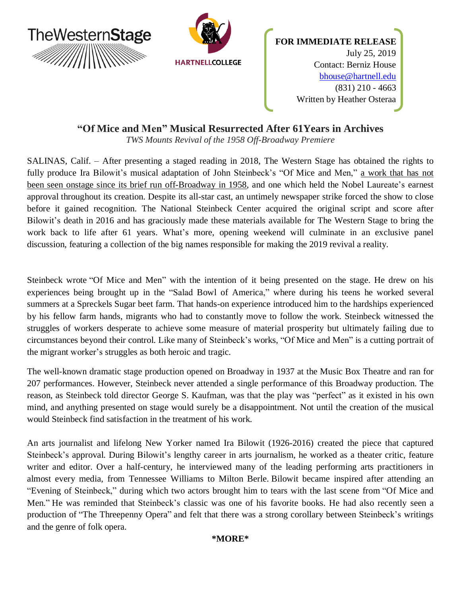

# **"Of Mice and Men" Musical Resurrected After 61Years in Archives**

*TWS Mounts Revival of the 1958 Off-Broadway Premiere*

SALINAS, Calif. – After presenting a staged reading in 2018, The Western Stage has obtained the rights to fully produce Ira Bilowit's musical adaptation of John Steinbeck's "Of Mice and Men," a work that has not been seen onstage since its brief run off-Broadway in 1958, and one which held the Nobel Laureate's earnest approval throughout its creation. Despite its all-star cast, an untimely newspaper strike forced the show to close before it gained recognition. The National Steinbeck Center acquired the original script and score after Bilowit's death in 2016 and has graciously made these materials available for The Western Stage to bring the work back to life after 61 years. What's more, opening weekend will culminate in an exclusive panel discussion, featuring a collection of the big names responsible for making the 2019 revival a reality.

Steinbeck wrote "Of Mice and Men" with the intention of it being presented on the stage. He drew on his experiences being brought up in the "Salad Bowl of America," where during his teens he worked several summers at a Spreckels Sugar beet farm. That hands-on experience introduced him to the hardships experienced by his fellow farm hands, migrants who had to constantly move to follow the work. Steinbeck witnessed the struggles of workers desperate to achieve some measure of material prosperity but ultimately failing due to circumstances beyond their control. Like many of Steinbeck's works, "Of Mice and Men" is a cutting portrait of the migrant worker's struggles as both heroic and tragic.

The well-known dramatic stage production opened on Broadway in 1937 at the Music Box Theatre and ran for 207 performances. However, Steinbeck never attended a single performance of this Broadway production. The reason, as Steinbeck told director George S. Kaufman, was that the play was "perfect" as it existed in his own mind, and anything presented on stage would surely be a disappointment. Not until the creation of the musical would Steinbeck find satisfaction in the treatment of his work.

An arts journalist and lifelong New Yorker named Ira Bilowit (1926-2016) created the piece that captured Steinbeck's approval. During Bilowit's lengthy career in arts journalism, he worked as a theater critic, feature writer and editor. Over a half-century, he interviewed many of the leading performing arts practitioners in almost every media, from Tennessee Williams to Milton Berle. Bilowit became inspired after attending an "Evening of Steinbeck," during which two actors brought him to tears with the last scene from "Of Mice and Men." He was reminded that Steinbeck's classic was one of his favorite books. He had also recently seen a production of "The Threepenny Opera" and felt that there was a strong corollary between Steinbeck's writings and the genre of folk opera.

# **\*MORE\***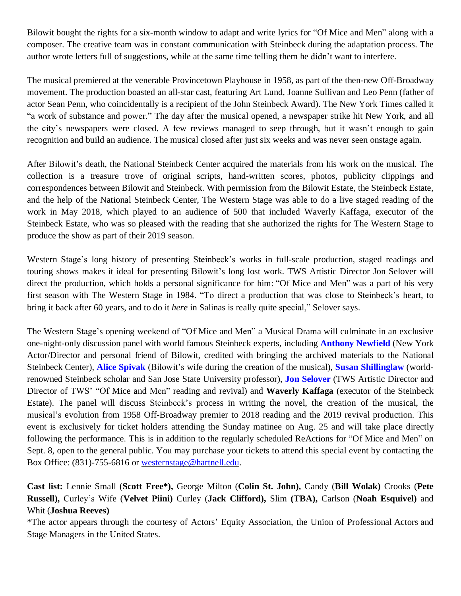Bilowit bought the rights for a six-month window to adapt and write lyrics for "Of Mice and Men" along with a composer. The creative team was in constant communication with Steinbeck during the adaptation process. The author wrote letters full of suggestions, while at the same time telling them he didn't want to interfere.

The musical premiered at the venerable Provincetown Playhouse in 1958, as part of the then-new Off-Broadway movement. The production boasted an all-star cast, featuring Art Lund, Joanne Sullivan and Leo Penn (father of actor Sean Penn, who coincidentally is a recipient of the John Steinbeck Award). The New York Times called it "a work of substance and power." The day after the musical opened, a newspaper strike hit New York, and all the city's newspapers were closed. A few reviews managed to seep through, but it wasn't enough to gain recognition and build an audience. The musical closed after just six weeks and was never seen onstage again.

After Bilowit's death, the National Steinbeck Center acquired the materials from his work on the musical. The collection is a treasure trove of original scripts, hand-written scores, photos, publicity clippings and correspondences between Bilowit and Steinbeck. With permission from the Bilowit Estate, the Steinbeck Estate, and the help of the National Steinbeck Center, The Western Stage was able to do a live staged reading of the work in May 2018, which played to an audience of 500 that included Waverly Kaffaga, executor of the Steinbeck Estate, who was so pleased with the reading that she authorized the rights for The Western Stage to produce the show as part of their 2019 season.

Western Stage's long history of presenting Steinbeck's works in full-scale production, staged readings and touring shows makes it ideal for presenting Bilowit's long lost work. TWS Artistic Director Jon Selover will direct the production, which holds a personal significance for him: "Of Mice and Men" was a part of his very first season with The Western Stage in 1984. "To direct a production that was close to Steinbeck's heart, to bring it back after 60 years, and to do it *here* in Salinas is really quite special," Selover says.

The Western Stage's opening weekend of "Of Mice and Men" a Musical Drama will culminate in an exclusive one-night-only discussion panel with world famous Steinbeck experts, including **Anthony [Newfield](https://www.ibdb.com/broadway-cast-staff/anthony-newfield-106567)** (New York Actor/Director and personal friend of Bilowit, credited with bringing the archived materials to the National Steinbeck Center), **Alice [Spivak](https://www.imdb.com/name/nm0819204/)** (Bilowit's wife during the creation of the musical), **Susan [Shillinglaw](https://www.penguinrandomhouse.com/authors/237095/susan-shillinglaw)** (worldrenowned Steinbeck scholar and San Jose State University professor), **Jon [Selover](https://www.americantheatre.org/2018/10/10/know-a-theatre-the-western-stage-in-salinas-calif/)** (TWS Artistic Director and Director of TWS' "Of Mice and Men" reading and revival) and **Waverly Kaffaga** (executor of the Steinbeck Estate). The panel will discuss Steinbeck's process in writing the novel, the creation of the musical, the musical's evolution from 1958 Off-Broadway premier to 2018 reading and the 2019 revival production. This event is exclusively for ticket holders attending the Sunday matinee on Aug. 25 and will take place directly following the performance. This is in addition to the regularly scheduled ReActions for "Of Mice and Men" on Sept. 8, open to the general public. You may purchase your tickets to attend this special event by contacting the Box Office: (831)-755-6816 or [westernstage@hartnell.edu.](mailto:westernstage@hartnell.edu)

**Cast list:** Lennie Small (**Scott Free\*),** George Milton (**Colin St. John),** Candy (**Bill Wolak)** Crooks (**Pete Russell),** Curley's Wife (**Velvet Piini)** Curley (**Jack Clifford),** Slim **(TBA),** Carlson (**Noah Esquivel)** and Whit (**Joshua Reeves)**

\*The actor appears through the courtesy of Actors' Equity Association, the Union of Professional Actors and Stage Managers in the United States.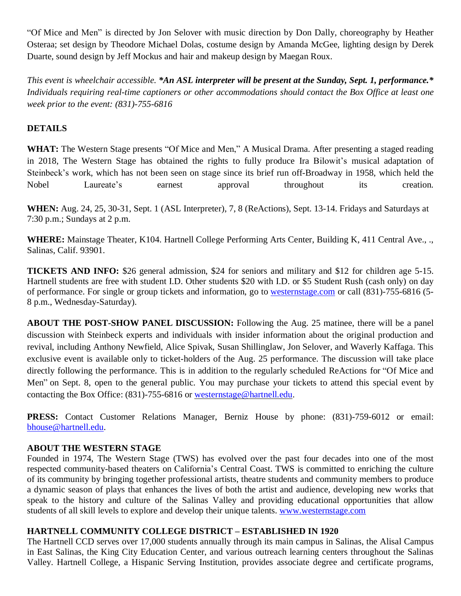"Of Mice and Men" is directed by Jon Selover with music direction by Don Dally, choreography by Heather Osteraa; set design by Theodore Michael Dolas, costume design by Amanda McGee, lighting design by Derek Duarte, sound design by Jeff Mockus and hair and makeup design by Maegan Roux.

This event is wheelchair accessible. \*An ASL interpreter will be present at the Sunday, Sept. 1, performance.\* *Individuals requiring real-time captioners or other accommodations should contact the Box Office at least one week prior to the event: (831)-755-6816*

# **DETAILS**

**WHAT:** The Western Stage presents "Of Mice and Men," A Musical Drama. After presenting a staged reading in 2018, The Western Stage has obtained the rights to fully produce Ira Bilowit's musical adaptation of Steinbeck's work, which has not been seen on stage since its brief run off-Broadway in 1958, which held the Nobel Laureate's earnest approval throughout its creation.

**WHEN:** Aug. 24, 25, 30-31, Sept. 1 (ASL Interpreter), 7, 8 (ReActions), Sept. 13-14. Fridays and Saturdays at 7:30 p.m.; Sundays at 2 p.m.

**WHERE:** Mainstage Theater, K104. Hartnell College Performing Arts Center, Building K, 411 Central Ave., ., Salinas, Calif. 93901.

**TICKETS AND INFO:** \$26 general admission, \$24 for seniors and military and \$12 for children age 5-15. Hartnell students are free with student I.D. Other students \$20 with I.D. or \$5 Student Rush (cash only) on day of performance. For single or group tickets and information, go to [westernstage.com](http://www.westernstage.com/) or call (831)-755-6816 (5- 8 p.m., Wednesday-Saturday).

**ABOUT THE POST-SHOW PANEL DISCUSSION:** Following the Aug. 25 matinee, there will be a panel discussion with Steinbeck experts and individuals with insider information about the original production and revival, including Anthony Newfield, Alice Spivak, Susan Shillinglaw, Jon Selover, and Waverly Kaffaga. This exclusive event is available only to ticket-holders of the Aug. 25 performance. The discussion will take place directly following the performance. This is in addition to the regularly scheduled ReActions for "Of Mice and Men" on Sept. 8, open to the general public. You may purchase your tickets to attend this special event by contacting the Box Office: (831)-755-6816 or [westernstage@hartnell.edu.](mailto:westernstage@hartnell.edu)

**PRESS:** Contact Customer Relations Manager, Berniz House by phone: (831)-759-6012 or email: [bhouse@hartnell.edu.](mailto:bhouse@hartnell.edu)

# **ABOUT THE WESTERN STAGE**

Founded in 1974, The Western Stage (TWS) has evolved over the past four decades into one of the most respected community-based theaters on California's Central Coast. TWS is committed to enriching the culture of its community by bringing together professional artists, theatre students and community members to produce a dynamic season of plays that enhances the lives of both the artist and audience, developing new works that speak to the history and culture of the Salinas Valley and providing educational opportunities that allow students of all skill levels to explore and develop their unique talents. [www.westernstage.com](http://www.westernstage.com/)

# **HARTNELL COMMUNITY COLLEGE DISTRICT – ESTABLISHED IN 1920**

The Hartnell CCD serves over 17,000 students annually through its main campus in Salinas, the Alisal Campus in East Salinas, the King City Education Center, and various outreach learning centers throughout the Salinas Valley. Hartnell College, a Hispanic Serving Institution, provides associate degree and certificate programs,